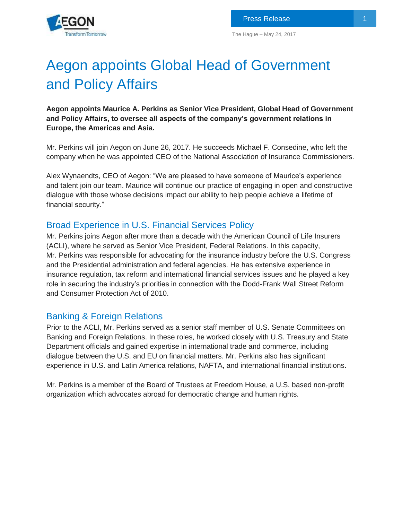

# Aegon appoints Global Head of Government and Policy Affairs

**Aegon appoints Maurice A. Perkins as Senior Vice President, Global Head of Government and Policy Affairs, to oversee all aspects of the company's government relations in Europe, the Americas and Asia.**

Mr. Perkins will join Aegon on June 26, 2017. He succeeds Michael F. Consedine, who left the company when he was appointed CEO of the National Association of Insurance Commissioners.

Alex Wynaendts, CEO of Aegon: "We are pleased to have someone of Maurice's experience and talent join our team. Maurice will continue our practice of engaging in open and constructive dialogue with those whose decisions impact our ability to help people achieve a lifetime of financial security."

# Broad Experience in U.S. Financial Services Policy

Mr. Perkins joins Aegon after more than a decade with the American Council of Life Insurers (ACLI), where he served as Senior Vice President, Federal Relations. In this capacity, Mr. Perkins was responsible for advocating for the insurance industry before the U.S. Congress and the Presidential administration and federal agencies. He has extensive experience in insurance regulation, tax reform and international financial services issues and he played a key role in securing the industry's priorities in connection with the Dodd-Frank Wall Street Reform and Consumer Protection Act of 2010.

## Banking & Foreign Relations

Prior to the ACLI, Mr. Perkins served as a senior staff member of U.S. Senate Committees on Banking and Foreign Relations. In these roles, he worked closely with U.S. Treasury and State Department officials and gained expertise in international trade and commerce, including dialogue between the U.S. and EU on financial matters. Mr. Perkins also has significant experience in U.S. and Latin America relations, NAFTA, and international financial institutions.

Mr. Perkins is a member of the Board of Trustees at Freedom House, a U.S. based non-profit organization which advocates abroad for democratic change and human rights.